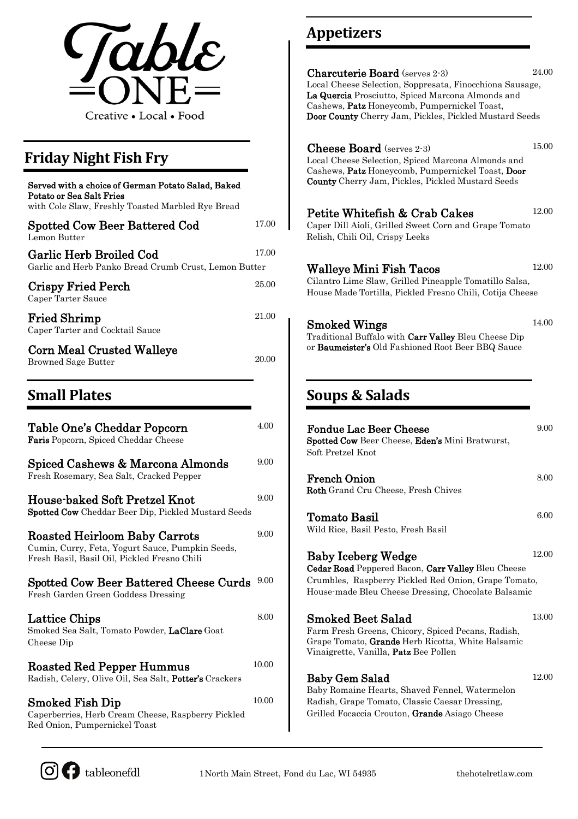

## **Friday Night Fish Fry**

| Served with a choice of German Potato Salad, Baked<br>Potato or Sea Salt Fries<br>with Cole Slaw, Freshly Toasted Marbled Rye Bread |       | <b>County</b> Cherry Jar                                                                        |  |
|-------------------------------------------------------------------------------------------------------------------------------------|-------|-------------------------------------------------------------------------------------------------|--|
| Spotted Cow Beer Battered Cod<br>Lemon Butter                                                                                       | 17.00 | <b>Petite Whitefi</b><br>Caper Dill Aioli, G<br>Relish, Chili Oil, C                            |  |
| Garlic Herb Broiled Cod<br>Garlic and Herb Panko Bread Crumb Crust, Lemon Butter                                                    | 17.00 | Walleye Mini                                                                                    |  |
| <b>Crispy Fried Perch</b><br>Caper Tarter Sauce                                                                                     | 25.00 | Cilantro Lime Slav<br>House Made Tortil                                                         |  |
| <b>Fried Shrimp</b><br>Caper Tarter and Cocktail Sauce                                                                              | 21.00 | Smoked Wing<br><b>Traditional Buffalo</b>                                                       |  |
| <b>Corn Meal Crusted Walleye</b><br><b>Browned Sage Butter</b>                                                                      | 20.00 | or Baumeister's Ol                                                                              |  |
| <b>Small Plates</b>                                                                                                                 |       | Soups & Sa                                                                                      |  |
| Table One's Cheddar Popcorn<br>Faris Popcorn, Spiced Cheddar Cheese                                                                 | 4.00  | <b>Fondue Lac Be</b><br><b>Spotted Cow Beer</b>                                                 |  |
| Spiced Cashews & Marcona Almonds<br>Fresh Rosemary, Sea Salt, Cracked Pepper                                                        | 9.00  | Soft Pretzel Knot<br><b>French Onion</b>                                                        |  |
| House-baked Soft Pretzel Knot<br>Spotted Cow Cheddar Beer Dip, Pickled Mustard Seeds                                                | 9.00  | <b>Roth</b> Grand Cru C                                                                         |  |
| <b>Roasted Heirloom Baby Carrots</b>                                                                                                | 9.00  | Tomato Basil<br>Wild Rice, Basil Pe                                                             |  |
| Cumin, Curry, Feta, Yogurt Sauce, Pumpkin Seeds,<br>Fresh Basil, Basil Oil, Pickled Fresno Chili                                    |       | <b>Baby Iceberg</b><br><b>Cedar Road Peppe</b>                                                  |  |
| Spotted Cow Beer Battered Cheese Curds<br>Fresh Garden Green Goddess Dressing                                                       | 9.00  | Crumbles, Raspbe<br>House-made Bleu                                                             |  |
| Lattice Chips<br>Smoked Sea Salt, Tomato Powder, LaClare Goat<br>Cheese Dip                                                         | 8.00  | $\operatorname{Smoked\,Bect}$ ,<br>Farm Fresh Green<br>Grape Tomato, Gra<br>Vinaigrette, Vanill |  |
| Roasted Red Pepper Hummus<br>Radish, Celery, Olive Oil, Sea Salt, Potter's Crackers                                                 | 10.00 | <b>Baby Gem Sala</b>                                                                            |  |
| <b>Smoked Fish Dip</b><br>Caperberries, Herb Cream Cheese, Raspberry Pickled                                                        | 10.00 | Baby Romaine Hea<br>Radish, Grape Ton<br>Grilled Focaccia C                                     |  |

# **Appetizers**

| Local Cheese Selection, Soppresata, Finocchiona Sausage,<br>La Quercia Prosciutto, Spiced Marcona Almonds and<br>Cashews, Patz Honeycomb, Pumpernickel Toast,<br>Door County Cherry Jam, Pickles, Pickled Mustard Seeds | 24.00 |
|-------------------------------------------------------------------------------------------------------------------------------------------------------------------------------------------------------------------------|-------|
| <b>Cheese Board</b> (serves 2-3)<br>Local Cheese Selection, Spiced Marcona Almonds and<br>Cashews, Patz Honeycomb, Pumpernickel Toast, Door<br>County Cherry Jam, Pickles, Pickled Mustard Seeds                        | 15.00 |
| Petite Whitefish & Crab Cakes<br>Caper Dill Aioli, Grilled Sweet Corn and Grape Tomato<br>Relish, Chili Oil, Crispy Leeks                                                                                               | 12.00 |
| Walleye Mini Fish Tacos<br>Cilantro Lime Slaw, Grilled Pineapple Tomatillo Salsa,<br>House Made Tortilla, Pickled Fresno Chili, Cotija Cheese                                                                           | 12.00 |
| Smoked Wings<br>Traditional Buffalo with Carr Valley Bleu Cheese Dip<br>or Baumeister's Old Fashioned Root Beer BBQ Sauce                                                                                               | 14.00 |
| Soups & Salads                                                                                                                                                                                                          |       |
|                                                                                                                                                                                                                         |       |
| <b>Fondue Lac Beer Cheese</b><br>Spotted Cow Beer Cheese, Eden's Mini Bratwurst,<br>Soft Pretzel Knot                                                                                                                   | 9.00  |
| <b>French Onion</b><br>Roth Grand Cru Cheese, Fresh Chives                                                                                                                                                              | 8.00  |
| Tomato Basil<br>Wild Rice, Basil Pesto, Fresh Basil                                                                                                                                                                     | 6.00  |
| <b>Baby Iceberg Wedge</b><br>Cedar Road Peppered Bacon, Carr Valley Bleu Cheese<br>Crumbles, Raspberry Pickled Red Onion, Grape Tomato,<br>House-made Bleu Cheese Dressing, Chocolate Balsamic                          | 12.00 |
| Smoked Beet Salad<br>Farm Fresh Greens, Chicory, Spiced Pecans, Radish,<br>Grape Tomato, Grande Herb Ricotta, White Balsamic<br>Vinaigrette, Vanilla, <b>Patz</b> Bee Pollen                                            | 13.00 |



Red Onion, Pumpernickel Toast